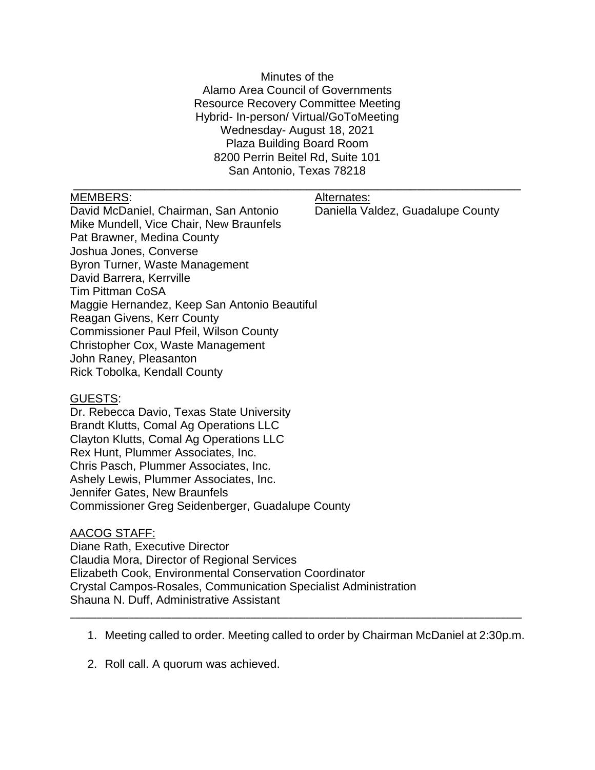Minutes of the Alamo Area Council of Governments Resource Recovery Committee Meeting Hybrid- In-person/ Virtual/GoToMeeting Wednesday- August 18, 2021 Plaza Building Board Room 8200 Perrin Beitel Rd, Suite 101 San Antonio, Texas 78218

\_\_\_\_\_\_\_\_\_\_\_\_\_\_\_\_\_\_\_\_\_\_\_\_\_\_\_\_\_\_\_\_\_\_\_\_\_\_\_\_\_\_\_\_\_\_\_\_\_\_\_\_\_\_\_\_\_\_\_\_\_\_\_\_\_\_\_\_\_

MEMBERS: Alternates:

David McDaniel, Chairman, San Antonio Daniella Valdez, Guadalupe County Mike Mundell, Vice Chair, New Braunfels Pat Brawner, Medina County Joshua Jones, Converse Byron Turner, Waste Management David Barrera, Kerrville Tim Pittman CoSA Maggie Hernandez, Keep San Antonio Beautiful Reagan Givens, Kerr County Commissioner Paul Pfeil, Wilson County Christopher Cox, Waste Management John Raney, Pleasanton Rick Tobolka, Kendall County

## GUESTS:

Dr. Rebecca Davio, Texas State University Brandt Klutts, Comal Ag Operations LLC Clayton Klutts, Comal Ag Operations LLC Rex Hunt, Plummer Associates, Inc. Chris Pasch, Plummer Associates, Inc. Ashely Lewis, Plummer Associates, Inc. Jennifer Gates, New Braunfels Commissioner Greg Seidenberger, Guadalupe County

## AACOG STAFF:

Diane Rath, Executive Director Claudia Mora, Director of Regional Services Elizabeth Cook, Environmental Conservation Coordinator Crystal Campos-Rosales, Communication Specialist Administration Shauna N. Duff, Administrative Assistant

1. Meeting called to order. Meeting called to order by Chairman McDaniel at 2:30p.m.

\_\_\_\_\_\_\_\_\_\_\_\_\_\_\_\_\_\_\_\_\_\_\_\_\_\_\_\_\_\_\_\_\_\_\_\_\_\_\_\_\_\_\_\_\_\_\_\_\_\_\_\_\_\_\_\_\_\_\_\_\_\_\_\_\_\_\_\_\_\_\_\_\_\_\_\_\_\_\_\_\_\_\_\_\_

2. Roll call. A quorum was achieved.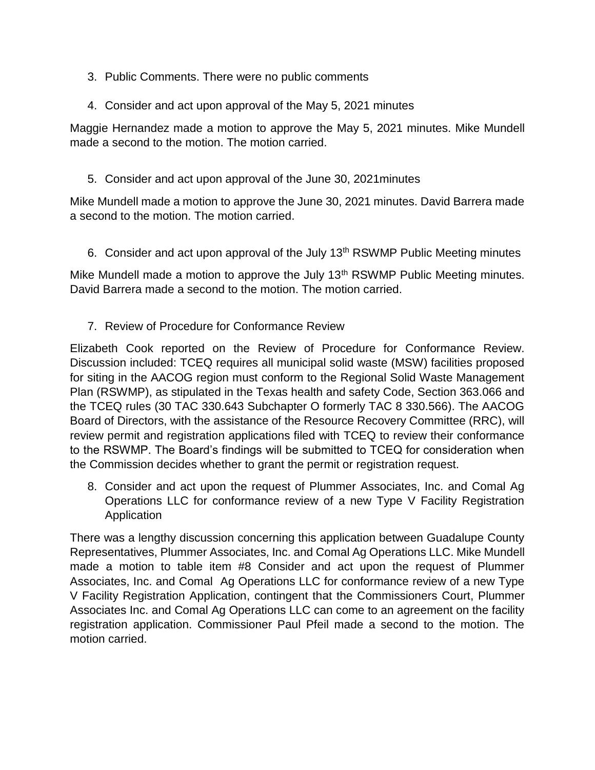- 3. Public Comments. There were no public comments
- 4. Consider and act upon approval of the May 5, 2021 minutes

Maggie Hernandez made a motion to approve the May 5, 2021 minutes. Mike Mundell made a second to the motion. The motion carried.

5. Consider and act upon approval of the June 30, 2021minutes

Mike Mundell made a motion to approve the June 30, 2021 minutes. David Barrera made a second to the motion. The motion carried.

6. Consider and act upon approval of the July 13<sup>th</sup> RSWMP Public Meeting minutes

Mike Mundell made a motion to approve the July  $13<sup>th</sup>$  RSWMP Public Meeting minutes. David Barrera made a second to the motion. The motion carried.

7. Review of Procedure for Conformance Review

Elizabeth Cook reported on the Review of Procedure for Conformance Review. Discussion included: TCEQ requires all municipal solid waste (MSW) facilities proposed for siting in the AACOG region must conform to the Regional Solid Waste Management Plan (RSWMP), as stipulated in the Texas health and safety Code, Section 363.066 and the TCEQ rules (30 TAC 330.643 Subchapter O formerly TAC 8 330.566). The AACOG Board of Directors, with the assistance of the Resource Recovery Committee (RRC), will review permit and registration applications filed with TCEQ to review their conformance to the RSWMP. The Board's findings will be submitted to TCEQ for consideration when the Commission decides whether to grant the permit or registration request.

8. Consider and act upon the request of Plummer Associates, Inc. and Comal Ag Operations LLC for conformance review of a new Type V Facility Registration Application

There was a lengthy discussion concerning this application between Guadalupe County Representatives, Plummer Associates, Inc. and Comal Ag Operations LLC. Mike Mundell made a motion to table item #8 Consider and act upon the request of Plummer Associates, Inc. and Comal Ag Operations LLC for conformance review of a new Type V Facility Registration Application, contingent that the Commissioners Court, Plummer Associates Inc. and Comal Ag Operations LLC can come to an agreement on the facility registration application. Commissioner Paul Pfeil made a second to the motion. The motion carried.